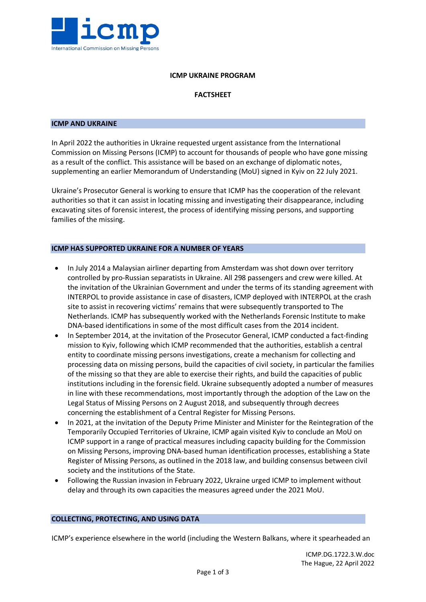

## **ICMP UKRAINE PROGRAM**

# **FACTSHEET**

#### **ICMP AND UKRAINE**

In April 2022 the authorities in Ukraine requested urgent assistance from the International Commission on Missing Persons (ICMP) to account for thousands of people who have gone missing as a result of the conflict. This assistance will be based on an exchange of diplomatic notes, supplementing an earlier Memorandum of Understanding (MoU) signed in Kyiv on 22 July 2021.

Ukraine's Prosecutor General is working to ensure that ICMP has the cooperation of the relevant authorities so that it can assist in locating missing and investigating their disappearance, including excavating sites of forensic interest, the process of identifying missing persons, and supporting families of the missing.

### **ICMP HAS SUPPORTED UKRAINE FOR A NUMBER OF YEARS**

- In July 2014 a Malaysian airliner departing from Amsterdam was shot down over territory controlled by pro-Russian separatists in Ukraine. All 298 passengers and crew were killed. At the invitation of the Ukrainian Government and under the terms of its standing agreement with INTERPOL to provide assistance in case of disasters, ICMP deployed with INTERPOL at the crash site to assist in recovering victims' remains that were subsequently transported to The Netherlands. ICMP has subsequently worked with the Netherlands Forensic Institute to make DNA-based identifications in some of the most difficult cases from the 2014 incident.
- In September 2014, at the invitation of the Prosecutor General, ICMP conducted a fact-finding mission to Kyiv, following which ICMP recommended that the authorities, establish a central entity to coordinate missing persons investigations, create a mechanism for collecting and processing data on missing persons, build the capacities of civil society, in particular the families of the missing so that they are able to exercise their rights, and build the capacities of public institutions including in the forensic field. Ukraine subsequently adopted a number of measures in line with these recommendations, most importantly through the adoption of the Law on the Legal Status of Missing Persons on 2 August 2018, and subsequently through decrees concerning the establishment of a Central Register for Missing Persons.
- In 2021, at the invitation of the Deputy Prime Minister and Minister for the Reintegration of the Temporarily Occupied Territories of Ukraine, ICMP again visited Kyiv to conclude an MoU on ICMP support in a range of practical measures including capacity building for the Commission on Missing Persons, improving DNA-based human identification processes, establishing a State Register of Missing Persons, as outlined in the 2018 law, and building consensus between civil society and the institutions of the State.
- Following the Russian invasion in February 2022, Ukraine urged ICMP to implement without delay and through its own capacities the measures agreed under the 2021 MoU.

### **COLLECTING, PROTECTING, AND USING DATA**

ICMP's experience elsewhere in the world (including the Western Balkans, where it spearheaded an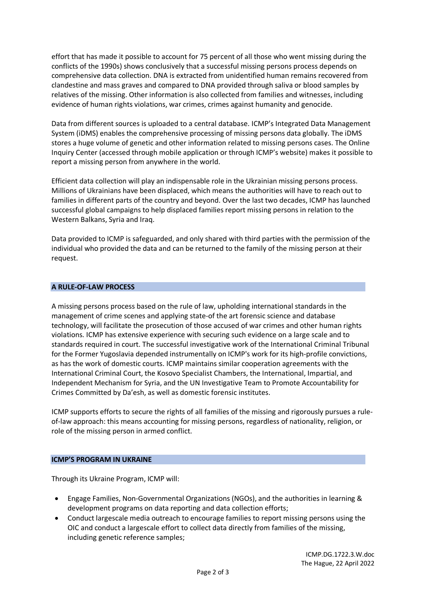effort that has made it possible to account for 75 percent of all those who went missing during the conflicts of the 1990s) shows conclusively that a successful missing persons process depends on comprehensive data collection. DNA is extracted from unidentified human remains recovered from clandestine and mass graves and compared to DNA provided through saliva or blood samples by relatives of the missing. Other information is also collected from families and witnesses, including evidence of human rights violations, war crimes, crimes against humanity and genocide.

Data from different sources is uploaded to a central database. ICMP's Integrated Data Management System (iDMS) enables the comprehensive processing of missing persons data globally. The iDMS stores a huge volume of genetic and other information related to missing persons cases. The Online Inquiry Center (accessed through mobile application or through ICMP's website) makes it possible to report a missing person from anywhere in the world.

Efficient data collection will play an indispensable role in the Ukrainian missing persons process. Millions of Ukrainians have been displaced, which means the authorities will have to reach out to families in different parts of the country and beyond. Over the last two decades, ICMP has launched successful global campaigns to help displaced families report missing persons in relation to the Western Balkans, Syria and Iraq.

Data provided to ICMP is safeguarded, and only shared with third parties with the permission of the individual who provided the data and can be returned to the family of the missing person at their request.

# **A RULE-OF-LAW PROCESS**

A missing persons process based on the rule of law, upholding international standards in the management of crime scenes and applying state-of the art forensic science and database technology, will facilitate the prosecution of those accused of war crimes and other human rights violations. ICMP has extensive experience with securing such evidence on a large scale and to standards required in court. The successful investigative work of the International Criminal Tribunal for the Former Yugoslavia depended instrumentally on ICMP's work for its high-profile convictions, as has the work of domestic courts. ICMP maintains similar cooperation agreements with the International Criminal Court, the Kosovo Specialist Chambers, the International, Impartial, and Independent Mechanism for Syria, and the UN Investigative Team to Promote Accountability for Crimes Committed by Da'esh, as well as domestic forensic institutes.

ICMP supports efforts to secure the rights of all families of the missing and rigorously pursues a ruleof-law approach: this means accounting for missing persons, regardless of nationality, religion, or role of the missing person in armed conflict.

### **ICMP'S PROGRAM IN UKRAINE**

Through its Ukraine Program, ICMP will:

- Engage Families, Non-Governmental Organizations (NGOs), and the authorities in learning & development programs on data reporting and data collection efforts;
- Conduct largescale media outreach to encourage families to report missing persons using the OIC and conduct a largescale effort to collect data directly from families of the missing, including genetic reference samples;